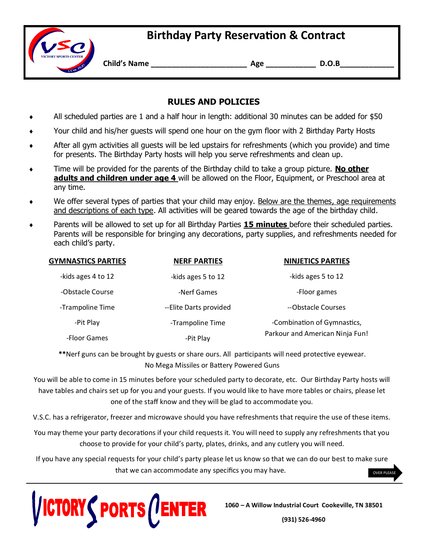## **Birthday Party Reservation & Contract**



**Child's Name \_\_\_\_\_\_\_\_\_\_\_\_\_\_\_\_\_\_\_\_\_\_\_ Age \_\_\_\_\_\_\_\_\_\_\_\_ D.O.B\_\_\_\_\_\_\_\_\_\_\_\_\_**

## **RULES AND POLICIES**

- All scheduled parties are 1 and a half hour in length: additional 30 minutes can be added for \$50
- Your child and his/her guests will spend one hour on the gym floor with 2 Birthday Party Hosts
- After all gym activities all guests will be led upstairs for refreshments (which you provide) and time for presents. The Birthday Party hosts will help you serve refreshments and clean up.
- Time will be provided for the parents of the Birthday child to take a group picture. **No other adults and children under age 4** will be allowed on the Floor, Equipment, or Preschool area at any time.
- We offer several types of parties that your child may enjoy. Below are the themes, age requirements and descriptions of each type. All activities will be geared towards the age of the birthday child.
- Parents will be allowed to set up for all Birthday Parties **15 minutes** before their scheduled parties. Parents will be responsible for bringing any decorations, party supplies, and refreshments needed for each child's party.

| <b>GYMNASTICS PARTIES</b> | <b>NERF PARTIES</b>     | <b>NINJETICS PARTIES</b>        |
|---------------------------|-------------------------|---------------------------------|
| -kids ages 4 to 12        | -kids ages 5 to 12      | -kids ages 5 to 12              |
| -Obstacle Course          | -Nerf Games             | -Floor games                    |
| -Trampoline Time          | -- Elite Darts provided | --Obstacle Courses              |
| -Pit Play                 | -Trampoline Time        | -Combination of Gymnastics,     |
| -Floor Games              | -Pit Play               | Parkour and American Ninja Fun! |

**\*\***Nerf guns can be brought by guests or share ours. All participants will need protective eyewear. No Mega Missiles or Battery Powered Guns

You will be able to come in 15 minutes before your scheduled party to decorate, etc. Our Birthday Party hosts will have tables and chairs set up for you and your guests. If you would like to have more tables or chairs, please let one of the staff know and they will be glad to accommodate you.

V.S.C. has a refrigerator, freezer and microwave should you have refreshments that require the use of these items.

You may theme your party decorations if your child requests it. You will need to supply any refreshments that you choose to provide for your child's party, plates, drinks, and any cutlery you will need.

If you have any special requests for your child's party please let us know so that we can do our best to make sure that we can accommodate any specifics you may have.



**1060 – A Willow Industrial Court Cookeville, TN 38501** 

**(931) 526-4960**